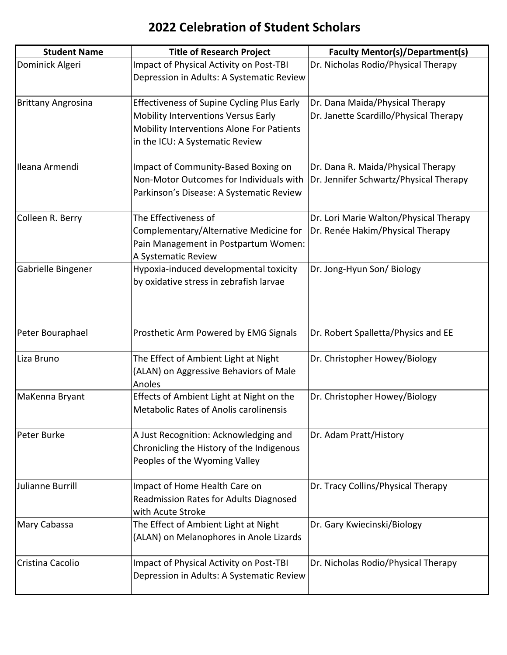| <b>Student Name</b>       | <b>Title of Research Project</b>                                                                                                                                         | <b>Faculty Mentor(s)/Department(s)</b>                                       |
|---------------------------|--------------------------------------------------------------------------------------------------------------------------------------------------------------------------|------------------------------------------------------------------------------|
| Dominick Algeri           | Impact of Physical Activity on Post-TBI<br>Depression in Adults: A Systematic Review                                                                                     | Dr. Nicholas Rodio/Physical Therapy                                          |
| <b>Brittany Angrosina</b> | <b>Effectiveness of Supine Cycling Plus Early</b><br>Mobility Interventions Versus Early<br>Mobility Interventions Alone For Patients<br>in the ICU: A Systematic Review | Dr. Dana Maida/Physical Therapy<br>Dr. Janette Scardillo/Physical Therapy    |
| Ileana Armendi            | Impact of Community-Based Boxing on<br>Non-Motor Outcomes for Individuals with<br>Parkinson's Disease: A Systematic Review                                               | Dr. Dana R. Maida/Physical Therapy<br>Dr. Jennifer Schwartz/Physical Therapy |
| Colleen R. Berry          | The Effectiveness of<br>Complementary/Alternative Medicine for<br>Pain Management in Postpartum Women:<br>A Systematic Review                                            | Dr. Lori Marie Walton/Physical Therapy<br>Dr. Renée Hakim/Physical Therapy   |
| Gabrielle Bingener        | Hypoxia-induced developmental toxicity<br>by oxidative stress in zebrafish larvae                                                                                        | Dr. Jong-Hyun Son/ Biology                                                   |
| Peter Bouraphael          | Prosthetic Arm Powered by EMG Signals                                                                                                                                    | Dr. Robert Spalletta/Physics and EE                                          |
| Liza Bruno                | The Effect of Ambient Light at Night<br>(ALAN) on Aggressive Behaviors of Male<br>Anoles                                                                                 | Dr. Christopher Howey/Biology                                                |
| MaKenna Bryant            | Effects of Ambient Light at Night on the<br><b>Metabolic Rates of Anolis carolinensis</b>                                                                                | Dr. Christopher Howey/Biology                                                |
| Peter Burke               | A Just Recognition: Acknowledging and<br>Chronicling the History of the Indigenous<br>Peoples of the Wyoming Valley                                                      | Dr. Adam Pratt/History                                                       |
| Julianne Burrill          | Impact of Home Health Care on<br>Readmission Rates for Adults Diagnosed<br>with Acute Stroke                                                                             | Dr. Tracy Collins/Physical Therapy                                           |
| Mary Cabassa              | The Effect of Ambient Light at Night<br>(ALAN) on Melanophores in Anole Lizards                                                                                          | Dr. Gary Kwiecinski/Biology                                                  |
| Cristina Cacolio          | Impact of Physical Activity on Post-TBI<br>Depression in Adults: A Systematic Review                                                                                     | Dr. Nicholas Rodio/Physical Therapy                                          |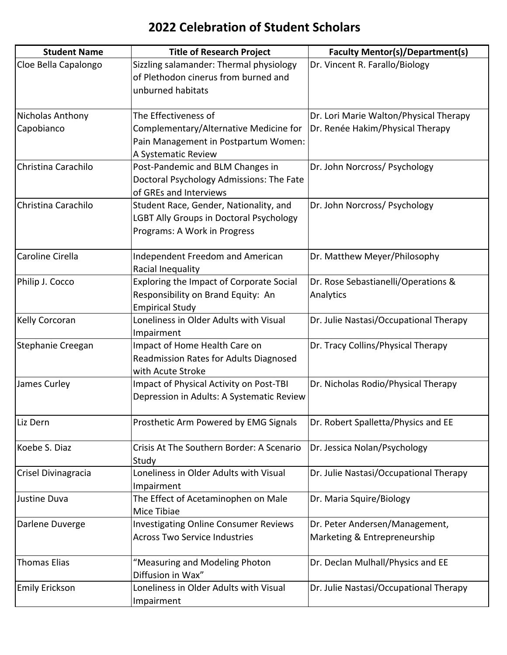| <b>Student Name</b>   | <b>Title of Research Project</b>               | <b>Faculty Mentor(s)/Department(s)</b> |
|-----------------------|------------------------------------------------|----------------------------------------|
| Cloe Bella Capalongo  | Sizzling salamander: Thermal physiology        | Dr. Vincent R. Farallo/Biology         |
|                       | of Plethodon cinerus from burned and           |                                        |
|                       | unburned habitats                              |                                        |
|                       |                                                |                                        |
| Nicholas Anthony      | The Effectiveness of                           | Dr. Lori Marie Walton/Physical Therapy |
| Capobianco            | Complementary/Alternative Medicine for         | Dr. Renée Hakim/Physical Therapy       |
|                       | Pain Management in Postpartum Women:           |                                        |
|                       | A Systematic Review                            |                                        |
| Christina Carachilo   | Post-Pandemic and BLM Changes in               | Dr. John Norcross/ Psychology          |
|                       | Doctoral Psychology Admissions: The Fate       |                                        |
|                       | of GREs and Interviews                         |                                        |
| Christina Carachilo   | Student Race, Gender, Nationality, and         | Dr. John Norcross/ Psychology          |
|                       | <b>LGBT Ally Groups in Doctoral Psychology</b> |                                        |
|                       | Programs: A Work in Progress                   |                                        |
| Caroline Cirella      | Independent Freedom and American               | Dr. Matthew Meyer/Philosophy           |
|                       | Racial Inequality                              |                                        |
| Philip J. Cocco       | Exploring the Impact of Corporate Social       | Dr. Rose Sebastianelli/Operations &    |
|                       | Responsibility on Brand Equity: An             | Analytics                              |
|                       | <b>Empirical Study</b>                         |                                        |
| Kelly Corcoran        | Loneliness in Older Adults with Visual         | Dr. Julie Nastasi/Occupational Therapy |
|                       | Impairment                                     |                                        |
| Stephanie Creegan     | Impact of Home Health Care on                  | Dr. Tracy Collins/Physical Therapy     |
|                       | Readmission Rates for Adults Diagnosed         |                                        |
|                       | with Acute Stroke                              |                                        |
| James Curley          | Impact of Physical Activity on Post-TBI        | Dr. Nicholas Rodio/Physical Therapy    |
|                       | Depression in Adults: A Systematic Review      |                                        |
| Liz Dern              | Prosthetic Arm Powered by EMG Signals          | Dr. Robert Spalletta/Physics and EE    |
|                       |                                                |                                        |
| Koebe S. Diaz         | Crisis At The Southern Border: A Scenario      | Dr. Jessica Nolan/Psychology           |
|                       | Study                                          |                                        |
| Crisel Divinagracia   | Loneliness in Older Adults with Visual         | Dr. Julie Nastasi/Occupational Therapy |
|                       | Impairment                                     |                                        |
| Justine Duva          | The Effect of Acetaminophen on Male            | Dr. Maria Squire/Biology               |
|                       | Mice Tibiae                                    |                                        |
| Darlene Duverge       | <b>Investigating Online Consumer Reviews</b>   | Dr. Peter Andersen/Management,         |
|                       | <b>Across Two Service Industries</b>           | Marketing & Entrepreneurship           |
| <b>Thomas Elias</b>   | "Measuring and Modeling Photon                 | Dr. Declan Mulhall/Physics and EE      |
|                       | Diffusion in Wax"                              |                                        |
| <b>Emily Erickson</b> | Loneliness in Older Adults with Visual         | Dr. Julie Nastasi/Occupational Therapy |
|                       | Impairment                                     |                                        |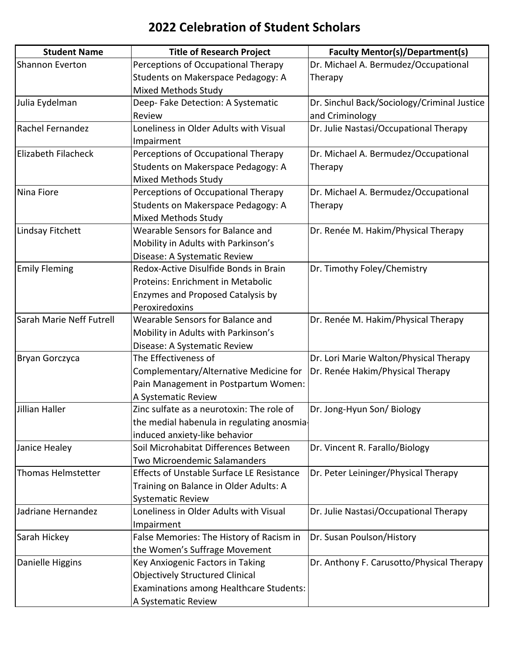| <b>Student Name</b>       | <b>Title of Research Project</b>                 | <b>Faculty Mentor(s)/Department(s)</b>      |
|---------------------------|--------------------------------------------------|---------------------------------------------|
| Shannon Everton           | Perceptions of Occupational Therapy              | Dr. Michael A. Bermudez/Occupational        |
|                           | Students on Makerspace Pedagogy: A               | Therapy                                     |
|                           | <b>Mixed Methods Study</b>                       |                                             |
| Julia Eydelman            | Deep-Fake Detection: A Systematic                | Dr. Sinchul Back/Sociology/Criminal Justice |
|                           | Review                                           | and Criminology                             |
| Rachel Fernandez          | Loneliness in Older Adults with Visual           | Dr. Julie Nastasi/Occupational Therapy      |
|                           | Impairment                                       |                                             |
| Elizabeth Filacheck       | Perceptions of Occupational Therapy              | Dr. Michael A. Bermudez/Occupational        |
|                           | Students on Makerspace Pedagogy: A               | Therapy                                     |
|                           | <b>Mixed Methods Study</b>                       |                                             |
| Nina Fiore                | Perceptions of Occupational Therapy              | Dr. Michael A. Bermudez/Occupational        |
|                           | Students on Makerspace Pedagogy: A               | Therapy                                     |
|                           | <b>Mixed Methods Study</b>                       |                                             |
| Lindsay Fitchett          | Wearable Sensors for Balance and                 | Dr. Renée M. Hakim/Physical Therapy         |
|                           | Mobility in Adults with Parkinson's              |                                             |
|                           | Disease: A Systematic Review                     |                                             |
| <b>Emily Fleming</b>      | Redox-Active Disulfide Bonds in Brain            | Dr. Timothy Foley/Chemistry                 |
|                           | Proteins: Enrichment in Metabolic                |                                             |
|                           | Enzymes and Proposed Catalysis by                |                                             |
|                           | Peroxiredoxins                                   |                                             |
| Sarah Marie Neff Futrell  | Wearable Sensors for Balance and                 | Dr. Renée M. Hakim/Physical Therapy         |
|                           | Mobility in Adults with Parkinson's              |                                             |
|                           | Disease: A Systematic Review                     |                                             |
| Bryan Gorczyca            | The Effectiveness of                             | Dr. Lori Marie Walton/Physical Therapy      |
|                           | Complementary/Alternative Medicine for           | Dr. Renée Hakim/Physical Therapy            |
|                           | Pain Management in Postpartum Women:             |                                             |
|                           | A Systematic Review                              |                                             |
| Jillian Haller            | Zinc sulfate as a neurotoxin: The role of        | Dr. Jong-Hyun Son/ Biology                  |
|                           | the medial habenula in regulating anosmia-       |                                             |
|                           | induced anxiety-like behavior                    |                                             |
| Janice Healey             | Soil Microhabitat Differences Between            | Dr. Vincent R. Farallo/Biology              |
|                           | <b>Two Microendemic Salamanders</b>              |                                             |
| <b>Thomas Helmstetter</b> | <b>Effects of Unstable Surface LE Resistance</b> | Dr. Peter Leininger/Physical Therapy        |
|                           | Training on Balance in Older Adults: A           |                                             |
|                           | <b>Systematic Review</b>                         |                                             |
| Jadriane Hernandez        | Loneliness in Older Adults with Visual           | Dr. Julie Nastasi/Occupational Therapy      |
|                           | Impairment                                       |                                             |
| Sarah Hickey              | False Memories: The History of Racism in         | Dr. Susan Poulson/History                   |
|                           | the Women's Suffrage Movement                    |                                             |
| Danielle Higgins          | Key Anxiogenic Factors in Taking                 | Dr. Anthony F. Carusotto/Physical Therapy   |
|                           | <b>Objectively Structured Clinical</b>           |                                             |
|                           | Examinations among Healthcare Students:          |                                             |
|                           | A Systematic Review                              |                                             |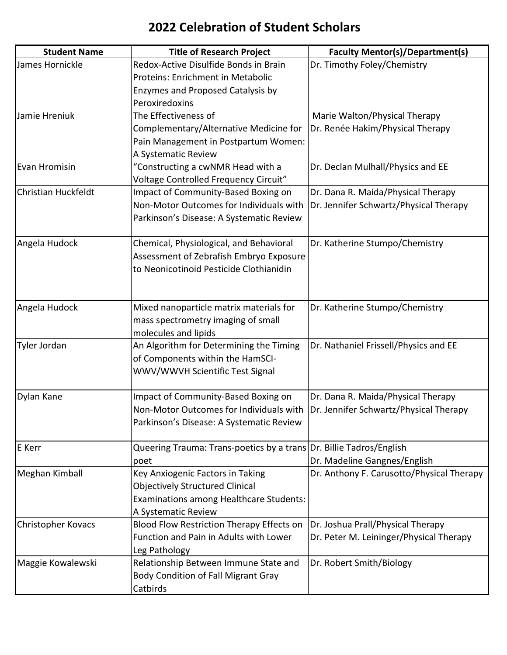| <b>Student Name</b>       | <b>Title of Research Project</b>                                    | <b>Faculty Mentor(s)/Department(s)</b>    |
|---------------------------|---------------------------------------------------------------------|-------------------------------------------|
| James Hornickle           | Redox-Active Disulfide Bonds in Brain                               | Dr. Timothy Foley/Chemistry               |
|                           | Proteins: Enrichment in Metabolic                                   |                                           |
|                           | <b>Enzymes and Proposed Catalysis by</b>                            |                                           |
|                           | Peroxiredoxins                                                      |                                           |
| Jamie Hreniuk             | The Effectiveness of                                                | Marie Walton/Physical Therapy             |
|                           | Complementary/Alternative Medicine for                              | Dr. Renée Hakim/Physical Therapy          |
|                           | Pain Management in Postpartum Women:                                |                                           |
|                           | A Systematic Review                                                 |                                           |
| Evan Hromisin             | "Constructing a cwNMR Head with a                                   | Dr. Declan Mulhall/Physics and EE         |
|                           | Voltage Controlled Frequency Circuit"                               |                                           |
| Christian Huckfeldt       | Impact of Community-Based Boxing on                                 | Dr. Dana R. Maida/Physical Therapy        |
|                           | Non-Motor Outcomes for Individuals with                             | Dr. Jennifer Schwartz/Physical Therapy    |
|                           | Parkinson's Disease: A Systematic Review                            |                                           |
|                           |                                                                     |                                           |
| Angela Hudock             | Chemical, Physiological, and Behavioral                             | Dr. Katherine Stumpo/Chemistry            |
|                           | Assessment of Zebrafish Embryo Exposure                             |                                           |
|                           | to Neonicotinoid Pesticide Clothianidin                             |                                           |
|                           |                                                                     |                                           |
|                           |                                                                     |                                           |
| Angela Hudock             | Mixed nanoparticle matrix materials for                             | Dr. Katherine Stumpo/Chemistry            |
|                           | mass spectrometry imaging of small                                  |                                           |
|                           | molecules and lipids                                                |                                           |
| Tyler Jordan              | An Algorithm for Determining the Timing                             | Dr. Nathaniel Frissell/Physics and EE     |
|                           | of Components within the HamSCI-                                    |                                           |
|                           | WWV/WWVH Scientific Test Signal                                     |                                           |
| Dylan Kane                | Impact of Community-Based Boxing on                                 | Dr. Dana R. Maida/Physical Therapy        |
|                           | Non-Motor Outcomes for Individuals with                             | Dr. Jennifer Schwartz/Physical Therapy    |
|                           | Parkinson's Disease: A Systematic Review                            |                                           |
|                           |                                                                     |                                           |
| E Kerr                    | Queering Trauma: Trans-poetics by a trans Dr. Billie Tadros/English |                                           |
|                           | poet                                                                | Dr. Madeline Gangnes/English              |
| Meghan Kimball            | Key Anxiogenic Factors in Taking                                    | Dr. Anthony F. Carusotto/Physical Therapy |
|                           | <b>Objectively Structured Clinical</b>                              |                                           |
|                           | <b>Examinations among Healthcare Students:</b>                      |                                           |
|                           | A Systematic Review                                                 |                                           |
| <b>Christopher Kovacs</b> | Blood Flow Restriction Therapy Effects on                           | Dr. Joshua Prall/Physical Therapy         |
|                           | Function and Pain in Adults with Lower                              | Dr. Peter M. Leininger/Physical Therapy   |
|                           | Leg Pathology                                                       |                                           |
| Maggie Kowalewski         | Relationship Between Immune State and                               | Dr. Robert Smith/Biology                  |
|                           | <b>Body Condition of Fall Migrant Gray</b>                          |                                           |
|                           | Catbirds                                                            |                                           |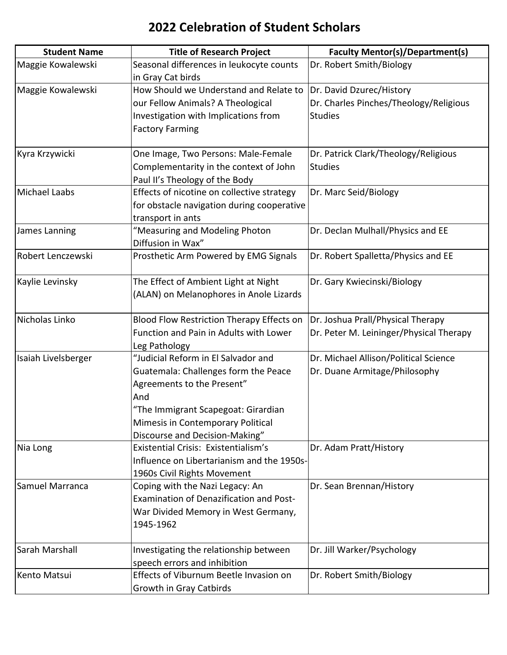| <b>Student Name</b> | <b>Title of Research Project</b>               | <b>Faculty Mentor(s)/Department(s)</b>  |
|---------------------|------------------------------------------------|-----------------------------------------|
| Maggie Kowalewski   | Seasonal differences in leukocyte counts       | Dr. Robert Smith/Biology                |
|                     | in Gray Cat birds                              |                                         |
| Maggie Kowalewski   | How Should we Understand and Relate to         | Dr. David Dzurec/History                |
|                     | our Fellow Animals? A Theological              | Dr. Charles Pinches/Theology/Religious  |
|                     | Investigation with Implications from           | <b>Studies</b>                          |
|                     | <b>Factory Farming</b>                         |                                         |
|                     |                                                |                                         |
| Kyra Krzywicki      | One Image, Two Persons: Male-Female            | Dr. Patrick Clark/Theology/Religious    |
|                     | Complementarity in the context of John         | <b>Studies</b>                          |
|                     | Paul II's Theology of the Body                 |                                         |
| Michael Laabs       | Effects of nicotine on collective strategy     | Dr. Marc Seid/Biology                   |
|                     | for obstacle navigation during cooperative     |                                         |
|                     | transport in ants                              |                                         |
| James Lanning       | "Measuring and Modeling Photon                 | Dr. Declan Mulhall/Physics and EE       |
|                     | Diffusion in Wax"                              |                                         |
| Robert Lenczewski   | Prosthetic Arm Powered by EMG Signals          | Dr. Robert Spalletta/Physics and EE     |
|                     |                                                |                                         |
| Kaylie Levinsky     | The Effect of Ambient Light at Night           | Dr. Gary Kwiecinski/Biology             |
|                     | (ALAN) on Melanophores in Anole Lizards        |                                         |
|                     |                                                |                                         |
| Nicholas Linko      | Blood Flow Restriction Therapy Effects on      | Dr. Joshua Prall/Physical Therapy       |
|                     | Function and Pain in Adults with Lower         | Dr. Peter M. Leininger/Physical Therapy |
|                     | Leg Pathology                                  |                                         |
| Isaiah Livelsberger | "Judicial Reform in El Salvador and            | Dr. Michael Allison/Political Science   |
|                     | Guatemala: Challenges form the Peace           | Dr. Duane Armitage/Philosophy           |
|                     | Agreements to the Present"                     |                                         |
|                     | And                                            |                                         |
|                     | "The Immigrant Scapegoat: Girardian            |                                         |
|                     | Mimesis in Contemporary Political              |                                         |
|                     | Discourse and Decision-Making"                 |                                         |
| Nia Long            | Existential Crisis: Existentialism's           | Dr. Adam Pratt/History                  |
|                     | Influence on Libertarianism and the 1950s-     |                                         |
|                     | 1960s Civil Rights Movement                    |                                         |
| Samuel Marranca     | Coping with the Nazi Legacy: An                | Dr. Sean Brennan/History                |
|                     | <b>Examination of Denazification and Post-</b> |                                         |
|                     | War Divided Memory in West Germany,            |                                         |
|                     | 1945-1962                                      |                                         |
|                     |                                                |                                         |
| Sarah Marshall      | Investigating the relationship between         | Dr. Jill Warker/Psychology              |
|                     | speech errors and inhibition                   |                                         |
| Kento Matsui        | Effects of Viburnum Beetle Invasion on         | Dr. Robert Smith/Biology                |
|                     | Growth in Gray Catbirds                        |                                         |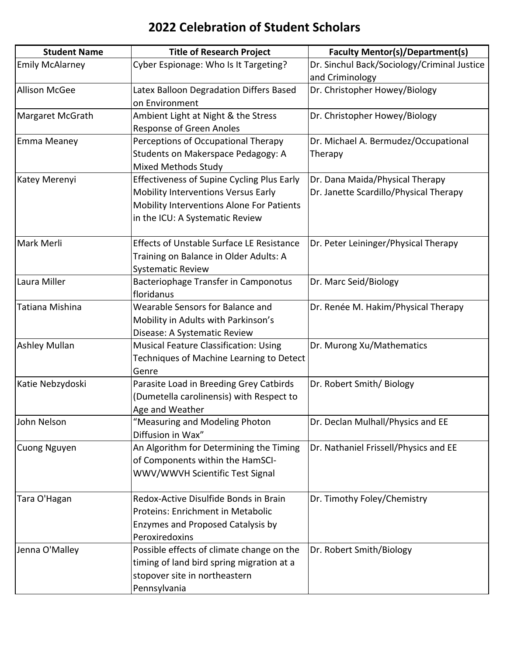| <b>Student Name</b>    | <b>Title of Research Project</b>                  | <b>Faculty Mentor(s)/Department(s)</b>      |
|------------------------|---------------------------------------------------|---------------------------------------------|
| <b>Emily McAlarney</b> | Cyber Espionage: Who Is It Targeting?             | Dr. Sinchul Back/Sociology/Criminal Justice |
|                        |                                                   | and Criminology                             |
| <b>Allison McGee</b>   | Latex Balloon Degradation Differs Based           | Dr. Christopher Howey/Biology               |
|                        | on Environment                                    |                                             |
| Margaret McGrath       | Ambient Light at Night & the Stress               | Dr. Christopher Howey/Biology               |
|                        | <b>Response of Green Anoles</b>                   |                                             |
| <b>Emma Meaney</b>     | Perceptions of Occupational Therapy               | Dr. Michael A. Bermudez/Occupational        |
|                        | Students on Makerspace Pedagogy: A                | Therapy                                     |
|                        | <b>Mixed Methods Study</b>                        |                                             |
| Katey Merenyi          | <b>Effectiveness of Supine Cycling Plus Early</b> | Dr. Dana Maida/Physical Therapy             |
|                        | Mobility Interventions Versus Early               | Dr. Janette Scardillo/Physical Therapy      |
|                        | Mobility Interventions Alone For Patients         |                                             |
|                        | in the ICU: A Systematic Review                   |                                             |
| Mark Merli             | <b>Effects of Unstable Surface LE Resistance</b>  | Dr. Peter Leininger/Physical Therapy        |
|                        | Training on Balance in Older Adults: A            |                                             |
|                        | <b>Systematic Review</b>                          |                                             |
| Laura Miller           | Bacteriophage Transfer in Camponotus              | Dr. Marc Seid/Biology                       |
|                        | floridanus                                        |                                             |
| Tatiana Mishina        | Wearable Sensors for Balance and                  | Dr. Renée M. Hakim/Physical Therapy         |
|                        | Mobility in Adults with Parkinson's               |                                             |
|                        | Disease: A Systematic Review                      |                                             |
| <b>Ashley Mullan</b>   | <b>Musical Feature Classification: Using</b>      | Dr. Murong Xu/Mathematics                   |
|                        | Techniques of Machine Learning to Detect          |                                             |
|                        | Genre                                             |                                             |
| Katie Nebzydoski       | Parasite Load in Breeding Grey Catbirds           | Dr. Robert Smith/Biology                    |
|                        | (Dumetella carolinensis) with Respect to          |                                             |
|                        | Age and Weather                                   |                                             |
| John Nelson            | "Measuring and Modeling Photon                    | Dr. Declan Mulhall/Physics and EE           |
|                        | Diffusion in Wax"                                 |                                             |
| Cuong Nguyen           | An Algorithm for Determining the Timing           | Dr. Nathaniel Frissell/Physics and EE       |
|                        | of Components within the HamSCI-                  |                                             |
|                        | WWV/WWVH Scientific Test Signal                   |                                             |
| Tara O'Hagan           | Redox-Active Disulfide Bonds in Brain             | Dr. Timothy Foley/Chemistry                 |
|                        | Proteins: Enrichment in Metabolic                 |                                             |
|                        | Enzymes and Proposed Catalysis by                 |                                             |
|                        | Peroxiredoxins                                    |                                             |
| Jenna O'Malley         | Possible effects of climate change on the         | Dr. Robert Smith/Biology                    |
|                        | timing of land bird spring migration at a         |                                             |
|                        | stopover site in northeastern                     |                                             |
|                        | Pennsylvania                                      |                                             |
|                        |                                                   |                                             |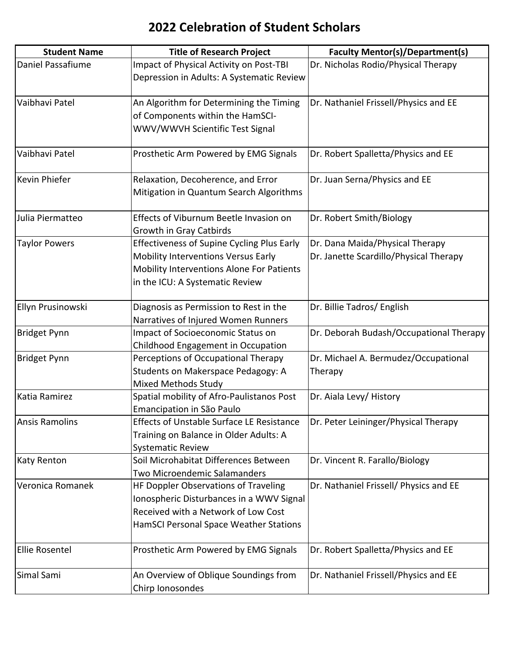| <b>Student Name</b>   | <b>Title of Research Project</b>                  | <b>Faculty Mentor(s)/Department(s)</b>  |
|-----------------------|---------------------------------------------------|-----------------------------------------|
| Daniel Passafiume     | Impact of Physical Activity on Post-TBI           | Dr. Nicholas Rodio/Physical Therapy     |
|                       | Depression in Adults: A Systematic Review         |                                         |
|                       |                                                   |                                         |
| Vaibhavi Patel        | An Algorithm for Determining the Timing           | Dr. Nathaniel Frissell/Physics and EE   |
|                       | of Components within the HamSCI-                  |                                         |
|                       | WWV/WWVH Scientific Test Signal                   |                                         |
| Vaibhavi Patel        | Prosthetic Arm Powered by EMG Signals             | Dr. Robert Spalletta/Physics and EE     |
| Kevin Phiefer         | Relaxation, Decoherence, and Error                | Dr. Juan Serna/Physics and EE           |
|                       | Mitigation in Quantum Search Algorithms           |                                         |
| Julia Piermatteo      | Effects of Viburnum Beetle Invasion on            | Dr. Robert Smith/Biology                |
|                       | <b>Growth in Gray Catbirds</b>                    |                                         |
| <b>Taylor Powers</b>  | <b>Effectiveness of Supine Cycling Plus Early</b> | Dr. Dana Maida/Physical Therapy         |
|                       | Mobility Interventions Versus Early               | Dr. Janette Scardillo/Physical Therapy  |
|                       | Mobility Interventions Alone For Patients         |                                         |
|                       | in the ICU: A Systematic Review                   |                                         |
| Ellyn Prusinowski     | Diagnosis as Permission to Rest in the            | Dr. Billie Tadros/ English              |
|                       | Narratives of Injured Women Runners               |                                         |
| <b>Bridget Pynn</b>   | Impact of Socioeconomic Status on                 | Dr. Deborah Budash/Occupational Therapy |
|                       | Childhood Engagement in Occupation                |                                         |
| <b>Bridget Pynn</b>   | Perceptions of Occupational Therapy               | Dr. Michael A. Bermudez/Occupational    |
|                       | Students on Makerspace Pedagogy: A                | Therapy                                 |
|                       | Mixed Methods Study                               |                                         |
| Katia Ramirez         | Spatial mobility of Afro-Paulistanos Post         | Dr. Aiala Levy/ History                 |
|                       | Emancipation in São Paulo                         |                                         |
| <b>Ansis Ramolins</b> | <b>Effects of Unstable Surface LE Resistance</b>  | Dr. Peter Leininger/Physical Therapy    |
|                       | Training on Balance in Older Adults: A            |                                         |
|                       | <b>Systematic Review</b>                          |                                         |
| <b>Katy Renton</b>    | Soil Microhabitat Differences Between             | Dr. Vincent R. Farallo/Biology          |
|                       | Two Microendemic Salamanders                      |                                         |
| Veronica Romanek      | HF Doppler Observations of Traveling              | Dr. Nathaniel Frissell/ Physics and EE  |
|                       | Ionospheric Disturbances in a WWV Signal          |                                         |
|                       | Received with a Network of Low Cost               |                                         |
|                       | HamSCI Personal Space Weather Stations            |                                         |
| <b>Ellie Rosentel</b> | Prosthetic Arm Powered by EMG Signals             | Dr. Robert Spalletta/Physics and EE     |
| Simal Sami            | An Overview of Oblique Soundings from             | Dr. Nathaniel Frissell/Physics and EE   |
|                       | Chirp Ionosondes                                  |                                         |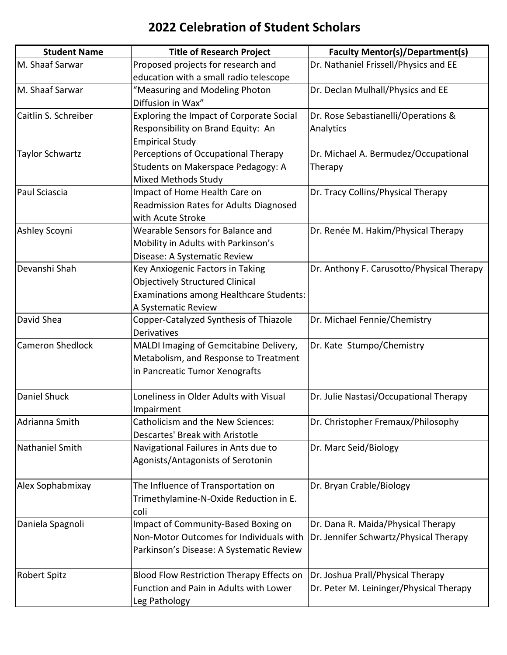| <b>Student Name</b>     | <b>Title of Research Project</b>               | <b>Faculty Mentor(s)/Department(s)</b>    |
|-------------------------|------------------------------------------------|-------------------------------------------|
| M. Shaaf Sarwar         | Proposed projects for research and             | Dr. Nathaniel Frissell/Physics and EE     |
|                         | education with a small radio telescope         |                                           |
| M. Shaaf Sarwar         | "Measuring and Modeling Photon                 | Dr. Declan Mulhall/Physics and EE         |
|                         | Diffusion in Wax"                              |                                           |
| Caitlin S. Schreiber    | Exploring the Impact of Corporate Social       | Dr. Rose Sebastianelli/Operations &       |
|                         | Responsibility on Brand Equity: An             | Analytics                                 |
|                         | <b>Empirical Study</b>                         |                                           |
| Taylor Schwartz         | Perceptions of Occupational Therapy            | Dr. Michael A. Bermudez/Occupational      |
|                         | Students on Makerspace Pedagogy: A             | Therapy                                   |
|                         | Mixed Methods Study                            |                                           |
| Paul Sciascia           | Impact of Home Health Care on                  | Dr. Tracy Collins/Physical Therapy        |
|                         | Readmission Rates for Adults Diagnosed         |                                           |
|                         | with Acute Stroke                              |                                           |
| Ashley Scoyni           | Wearable Sensors for Balance and               | Dr. Renée M. Hakim/Physical Therapy       |
|                         | Mobility in Adults with Parkinson's            |                                           |
|                         | Disease: A Systematic Review                   |                                           |
| Devanshi Shah           | Key Anxiogenic Factors in Taking               | Dr. Anthony F. Carusotto/Physical Therapy |
|                         | <b>Objectively Structured Clinical</b>         |                                           |
|                         | <b>Examinations among Healthcare Students:</b> |                                           |
|                         | A Systematic Review                            |                                           |
| David Shea              | Copper-Catalyzed Synthesis of Thiazole         | Dr. Michael Fennie/Chemistry              |
|                         | <b>Derivatives</b>                             |                                           |
| <b>Cameron Shedlock</b> | MALDI Imaging of Gemcitabine Delivery,         | Dr. Kate Stumpo/Chemistry                 |
|                         | Metabolism, and Response to Treatment          |                                           |
|                         | in Pancreatic Tumor Xenografts                 |                                           |
| <b>Daniel Shuck</b>     | Loneliness in Older Adults with Visual         | Dr. Julie Nastasi/Occupational Therapy    |
|                         | Impairment                                     |                                           |
| Adrianna Smith          | <b>Catholicism and the New Sciences:</b>       | Dr. Christopher Fremaux/Philosophy        |
|                         | Descartes' Break with Aristotle                |                                           |
| Nathaniel Smith         | Navigational Failures in Ants due to           | Dr. Marc Seid/Biology                     |
|                         | Agonists/Antagonists of Serotonin              |                                           |
| Alex Sophabmixay        | The Influence of Transportation on             | Dr. Bryan Crable/Biology                  |
|                         | Trimethylamine-N-Oxide Reduction in E.         |                                           |
|                         | coli                                           |                                           |
| Daniela Spagnoli        | Impact of Community-Based Boxing on            | Dr. Dana R. Maida/Physical Therapy        |
|                         | Non-Motor Outcomes for Individuals with        | Dr. Jennifer Schwartz/Physical Therapy    |
|                         | Parkinson's Disease: A Systematic Review       |                                           |
| <b>Robert Spitz</b>     | Blood Flow Restriction Therapy Effects on      | Dr. Joshua Prall/Physical Therapy         |
|                         | Function and Pain in Adults with Lower         | Dr. Peter M. Leininger/Physical Therapy   |
|                         | Leg Pathology                                  |                                           |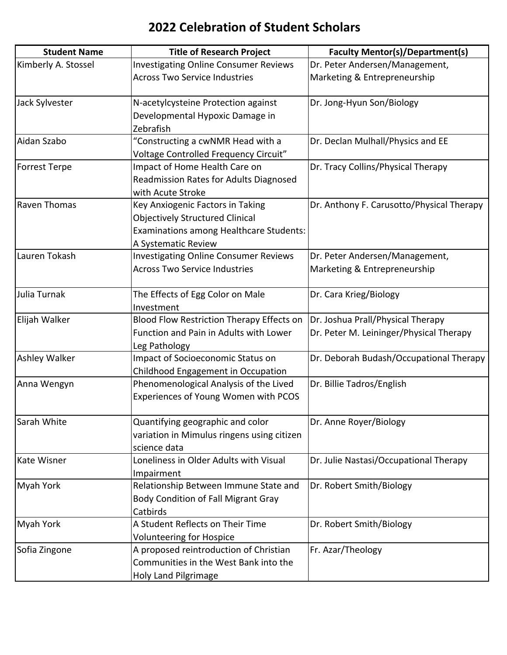| <b>Student Name</b>  | <b>Title of Research Project</b>              | <b>Faculty Mentor(s)/Department(s)</b>    |
|----------------------|-----------------------------------------------|-------------------------------------------|
| Kimberly A. Stossel  | <b>Investigating Online Consumer Reviews</b>  | Dr. Peter Andersen/Management,            |
|                      | <b>Across Two Service Industries</b>          | Marketing & Entrepreneurship              |
| Jack Sylvester       | N-acetylcysteine Protection against           | Dr. Jong-Hyun Son/Biology                 |
|                      | Developmental Hypoxic Damage in               |                                           |
|                      | Zebrafish                                     |                                           |
| Aidan Szabo          | "Constructing a cwNMR Head with a             | Dr. Declan Mulhall/Physics and EE         |
|                      | Voltage Controlled Frequency Circuit"         |                                           |
| <b>Forrest Terpe</b> | Impact of Home Health Care on                 | Dr. Tracy Collins/Physical Therapy        |
|                      | <b>Readmission Rates for Adults Diagnosed</b> |                                           |
|                      | with Acute Stroke                             |                                           |
| <b>Raven Thomas</b>  | Key Anxiogenic Factors in Taking              | Dr. Anthony F. Carusotto/Physical Therapy |
|                      | <b>Objectively Structured Clinical</b>        |                                           |
|                      | Examinations among Healthcare Students:       |                                           |
|                      | A Systematic Review                           |                                           |
| Lauren Tokash        | <b>Investigating Online Consumer Reviews</b>  | Dr. Peter Andersen/Management,            |
|                      | <b>Across Two Service Industries</b>          | Marketing & Entrepreneurship              |
| Julia Turnak         | The Effects of Egg Color on Male              | Dr. Cara Krieg/Biology                    |
|                      | Investment                                    |                                           |
| Elijah Walker        | Blood Flow Restriction Therapy Effects on     | Dr. Joshua Prall/Physical Therapy         |
|                      | Function and Pain in Adults with Lower        | Dr. Peter M. Leininger/Physical Therapy   |
|                      | Leg Pathology                                 |                                           |
| <b>Ashley Walker</b> | Impact of Socioeconomic Status on             | Dr. Deborah Budash/Occupational Therapy   |
|                      | Childhood Engagement in Occupation            |                                           |
| Anna Wengyn          | Phenomenological Analysis of the Lived        | Dr. Billie Tadros/English                 |
|                      | Experiences of Young Women with PCOS          |                                           |
| Sarah White          | Quantifying geographic and color              | Dr. Anne Royer/Biology                    |
|                      | variation in Mimulus ringens using citizen    |                                           |
|                      | science data                                  |                                           |
| <b>Kate Wisner</b>   | Loneliness in Older Adults with Visual        | Dr. Julie Nastasi/Occupational Therapy    |
|                      | Impairment                                    |                                           |
| <b>Myah York</b>     | Relationship Between Immune State and         | Dr. Robert Smith/Biology                  |
|                      | <b>Body Condition of Fall Migrant Gray</b>    |                                           |
|                      | Catbirds                                      |                                           |
| <b>Myah York</b>     | A Student Reflects on Their Time              | Dr. Robert Smith/Biology                  |
|                      | <b>Volunteering for Hospice</b>               |                                           |
| Sofia Zingone        | A proposed reintroduction of Christian        | Fr. Azar/Theology                         |
|                      | Communities in the West Bank into the         |                                           |
|                      | Holy Land Pilgrimage                          |                                           |